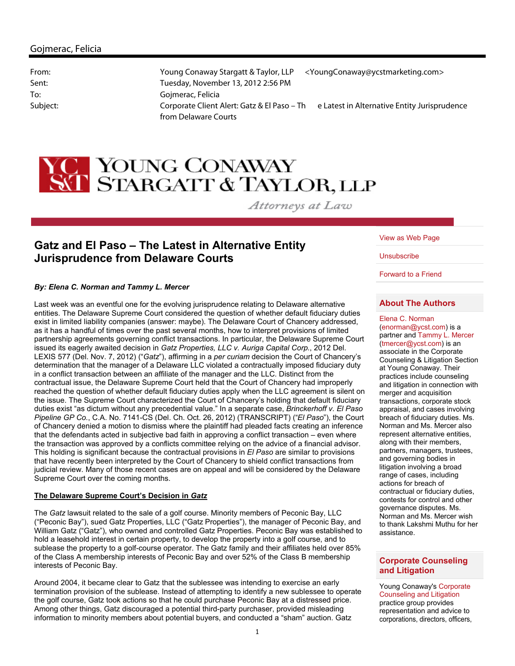# **YO** YOUNG CONAWAY<br>SCI STARGATT & TAYLOR, LLP

Attorneys at Law

# **Gatz and El Paso – The Latest in Alternative Entity Jurisprudence from Delaware Courts**

### *By: Elena C. Norman and Tammy L. Mercer*

Last week was an eventful one for the evolving jurisprudence relating to Delaware alternative entities. The Delaware Supreme Court considered the question of whether default fiduciary duties exist in limited liability companies (answer: maybe). The Delaware Court of Chancery addressed, as it has a handful of times over the past several months, how to interpret provisions of limited partnership agreements governing conflict transactions. In particular, the Delaware Supreme Court issued its eagerly awaited decision in *Gatz Properties, LLC v. Auriga Capital Corp*., 2012 Del. LEXIS 577 (Del. Nov. 7, 2012) ("*Gatz*"), affirming in a *per curiam* decision the Court of Chancery's determination that the manager of a Delaware LLC violated a contractually imposed fiduciary duty in a conflict transaction between an affiliate of the manager and the LLC. Distinct from the contractual issue, the Delaware Supreme Court held that the Court of Chancery had improperly reached the question of whether default fiduciary duties apply when the LLC agreement is silent on the issue. The Supreme Court characterized the Court of Chancery's holding that default fiduciary duties exist "as dictum without any precedential value." In a separate case, *Brinckerhoff v. El Paso Pipeline GP Co.*, C.A. No. 7141-CS (Del. Ch. Oct. 26, 2012) (TRANSCRIPT) ("*El Paso*"), the Court of Chancery denied a motion to dismiss where the plaintiff had pleaded facts creating an inference that the defendants acted in subjective bad faith in approving a conflict transaction – even where the transaction was approved by a conflicts committee relying on the advice of a financial advisor. This holding is significant because the contractual provisions in *El Paso* are similar to provisions that have recently been interpreted by the Court of Chancery to shield conflict transactions from judicial review. Many of those recent cases are on appeal and will be considered by the Delaware Supreme Court over the coming months.

### **The Delaware Supreme Court's Decision in** *Gatz*

The *Gatz* lawsuit related to the sale of a golf course. Minority members of Peconic Bay, LLC ("Peconic Bay"), sued Gatz Properties, LLC ("Gatz Properties"), the manager of Peconic Bay, and William Gatz ("Gatz"), who owned and controlled Gatz Properties. Peconic Bay was established to hold a leasehold interest in certain property, to develop the property into a golf course, and to sublease the property to a golf-course operator. The Gatz family and their affiliates held over 85% of the Class A membership interests of Peconic Bay and over 52% of the Class B membership interests of Peconic Bay.

Around 2004, it became clear to Gatz that the sublessee was intending to exercise an early termination provision of the sublease. Instead of attempting to identify a new sublessee to operate the golf course, Gatz took actions so that he could purchase Peconic Bay at a distressed price. Among other things, Gatz discouraged a potential third-party purchaser, provided misleading information to minority members about potential buyers, and conducted a "sham" auction. Gatz

View as Web Page

**Unsubscribe** 

Forward to a Friend

# **About The Authors**

Elena C. Norman (enorman@ycst.com) is a partner and Tammy L. Mercer (tmercer@ycst.com) is an associate in the Corporate Counseling & Litigation Section at Young Conaway. Their practices include counseling and litigation in connection with merger and acquisition transactions, corporate stock appraisal, and cases involving breach of fiduciary duties. Ms. Norman and Ms. Mercer also represent alternative entities, along with their members. partners, managers, trustees, and governing bodies in litigation involving a broad range of cases, including actions for breach of contractual or fiduciary duties, contests for control and other governance disputes. Ms. Norman and Ms. Mercer wish to thank Lakshmi Muthu for her assistance.

## **Corporate Counseling and Litigation**

Young Conaway's Corporate Counseling and Litigation practice group provides representation and advice to corporations, directors, officers,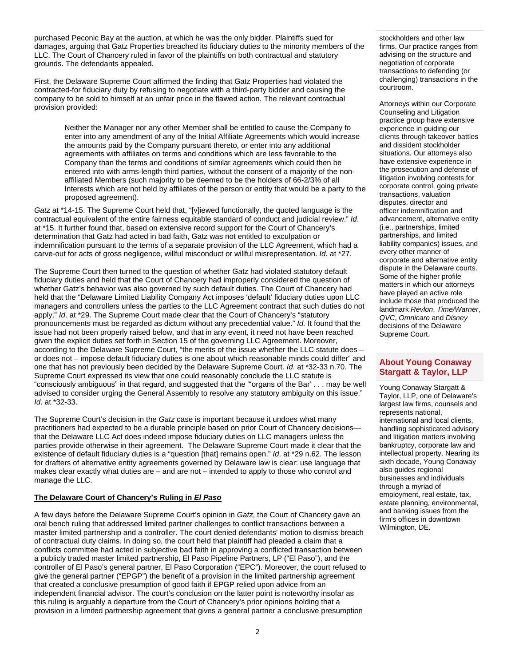purchased Peconic Bay at the auction, at which he was the only bidder. Plaintiffs sued for damages, arguing that Gatz Properties breached its fiduciary duties to the minority members of the LLC. The Court of Chancery ruled in favor of the plaintiffs on both contractual and statutory grounds. The defendants appealed.

First, the Delaware Supreme Court affirmed the finding that Gatz Properties had violated the contracted-for fiduciary duty by refusing to negotiate with a third-party bidder and causing the company to be sold to himself at an unfair price in the flawed action. The relevant contractual provision provided:

Neither the Manager nor any other Member shall be entitled to cause the Company to enter into any amendment of any of the Initial Affiliate Agreements which would increase the amounts paid by the Company pursuant thereto, or enter into any additional agreements with affiliates on terms and conditions which are less favorable to the Company than the terms and conditions of similar agreements which could then be entered into with arms-length third parties, without the consent of a majority of the nonaffiliated Members (such majority to be deemed to be the holders of 66-2/3% of all Interests which are not held by affiliates of the person or entity that would be a party to the proposed agreement).

*Gatz* at \*14-15. The Supreme Court held that, "[v]iewed functionally, the quoted language is the contractual equivalent of the entire fairness equitable standard of conduct and judicial review." *Id*. at \*15. It further found that, based on extensive record support for the Court of Chancery's determination that Gatz had acted in bad faith, Gatz was not entitled to exculpation or indemnification pursuant to the terms of a separate provision of the LLC Agreement, which had a carve-out for acts of gross negligence, willful misconduct or willful misrepresentation. *Id*. at \*27.

The Supreme Court then turned to the question of whether Gatz had violated statutory default fiduciary duties and held that the Court of Chancery had improperly considered the question of whether Gatz's behavior was also governed by such default duties. The Court of Chancery had held that the "Delaware Limited Liability Company Act imposes 'default' fiduciary duties upon LLC managers and controllers unless the parties to the LLC Agreement contract that such duties do not apply." *Id*. at \*29. The Supreme Court made clear that the Court of Chancery's "statutory pronouncements must be regarded as dictum without any precedential value." *Id.* It found that the issue had not been properly raised below, and that in any event, it need not have been reached given the explicit duties set forth in Section 15 of the governing LLC Agreement. Moreover, according to the Delaware Supreme Court, "the merits of the issue whether the LLC statute does – or does not – impose default fiduciary duties is one about which reasonable minds could differ" and one that has not previously been decided by the Delaware Supreme Court. *Id*. at \*32-33 n.70. The Supreme Court expressed its view that one could reasonably conclude the LLC statute is "consciously ambiguous" in that regard, and suggested that the "'organs of the Bar' . . . may be well advised to consider urging the General Assembly to resolve any statutory ambiguity on this issue." *Id*. at \*32-33.

The Supreme Court's decision in the *Gatz* case is important because it undoes what many practitioners had expected to be a durable principle based on prior Court of Chancery decisions that the Delaware LLC Act does indeed impose fiduciary duties on LLC managers unless the parties provide otherwise in their agreement. The Delaware Supreme Court made it clear that the existence of default fiduciary duties is a "question [that] remains open." *Id*. at \*29 n.62. The lesson for drafters of alternative entity agreements governed by Delaware law is clear: use language that makes clear exactly what duties are – and are not – intended to apply to those who control and manage the LLC.

# **The Delaware Court of Chancery's Ruling in** *El Paso*

A few days before the Delaware Supreme Court's opinion in *Gatz*, the Court of Chancery gave an oral bench ruling that addressed limited partner challenges to conflict transactions between a master limited partnership and a controller. The court denied defendants' motion to dismiss breach of contractual duty claims. In doing so, the court held that plaintiff had pleaded a claim that a conflicts committee had acted in subjective bad faith in approving a conflicted transaction between a publicly traded master limited partnership, El Paso Pipeline Partners, LP ("El Paso"), and the controller of El Paso's general partner, El Paso Corporation ("EPC"). Moreover, the court refused to give the general partner ("EPGP") the benefit of a provision in the limited partnership agreement that created a conclusive presumption of good faith if EPGP relied upon advice from an independent financial advisor. The court's conclusion on the latter point is noteworthy insofar as this ruling is arguably a departure from the Court of Chancery's prior opinions holding that a provision in a limited partnership agreement that gives a general partner a conclusive presumption

stockholders and other law firms. Our practice ranges from advising on the structure and negotiation of corporate transactions to defending (or challenging) transactions in the courtroom.

Attorneys within our Corporate Counseling and Litigation practice group have extensive experience in guiding our clients through takeover battles and dissident stockholder situations. Our attorneys also have extensive experience in the prosecution and defense of litigation involving contests for corporate control, going private transactions, valuation disputes, director and officer indemnification and advancement, alternative entity (i.e., partnerships, limited partnerships, and limited liability companies) issues, and every other manner of corporate and alternative entity dispute in the Delaware courts. Some of the higher profile matters in which our attorneys have played an active role include those that produced the landmark *Revlon*, *Time/Warner*, *QVC*, *Omnicare* and *Disney* decisions of the Delaware Supreme Court.

### **About Young Conaway Stargatt & Taylor, LLP**

Young Conaway Stargatt & Taylor, LLP, one of Delaware's largest law firms, counsels and represents national, international and local clients, handling sophisticated advisory and litigation matters involving bankruptcy, corporate law and intellectual property. Nearing its sixth decade, Young Conaway also guides regional businesses and individuals through a myriad of employment, real estate, tax, estate planning, environmental, and banking issues from the firm's offices in downtown Wilmington, DE.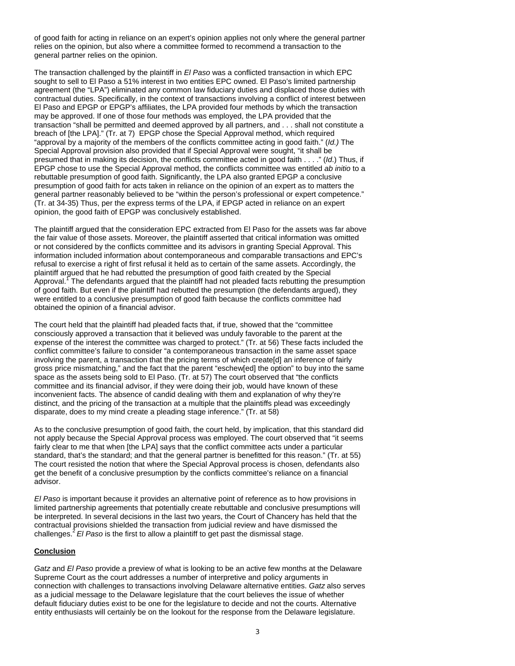of good faith for acting in reliance on an expert's opinion applies not only where the general partner relies on the opinion, but also where a committee formed to recommend a transaction to the general partner relies on the opinion.

The transaction challenged by the plaintiff in *El Paso* was a conflicted transaction in which EPC sought to sell to El Paso a 51% interest in two entities EPC owned. El Paso's limited partnership agreement (the "LPA") eliminated any common law fiduciary duties and displaced those duties with contractual duties. Specifically, in the context of transactions involving a conflict of interest between El Paso and EPGP or EPGP's affiliates, the LPA provided four methods by which the transaction may be approved. If one of those four methods was employed, the LPA provided that the transaction "shall be permitted and deemed approved by all partners, and . . . shall not constitute a breach of [the LPA]." (Tr. at 7) EPGP chose the Special Approval method, which required "approval by a majority of the members of the conflicts committee acting in good faith." (*Id.)* The Special Approval provision also provided that if Special Approval were sought, "it shall be presumed that in making its decision, the conflicts committee acted in good faith . . . ." (*Id*.) Thus, if EPGP chose to use the Special Approval method, the conflicts committee was entitled *ab initio* to a rebuttable presumption of good faith. Significantly, the LPA also granted EPGP a conclusive presumption of good faith for acts taken in reliance on the opinion of an expert as to matters the general partner reasonably believed to be "within the person's professional or expert competence." (Tr. at 34-35) Thus, per the express terms of the LPA, if EPGP acted in reliance on an expert opinion, the good faith of EPGP was conclusively established.

The plaintiff argued that the consideration EPC extracted from El Paso for the assets was far above the fair value of those assets. Moreover, the plaintiff asserted that critical information was omitted or not considered by the conflicts committee and its advisors in granting Special Approval. This information included information about contemporaneous and comparable transactions and EPC's refusal to exercise a right of first refusal it held as to certain of the same assets. Accordingly, the plaintiff argued that he had rebutted the presumption of good faith created by the Special Approval. <sup>T</sup>The defendants argued that the plaintiff had not pleaded facts rebutting the presumption of good faith. But even if the plaintiff had rebutted the presumption (the defendants argued), they were entitled to a conclusive presumption of good faith because the conflicts committee had obtained the opinion of a financial advisor.

The court held that the plaintiff had pleaded facts that, if true, showed that the "committee consciously approved a transaction that it believed was unduly favorable to the parent at the expense of the interest the committee was charged to protect." (Tr. at 56) These facts included the conflict committee's failure to consider "a contemporaneous transaction in the same asset space involving the parent, a transaction that the pricing terms of which create[d] an inference of fairly gross price mismatching," and the fact that the parent "eschew[ed] the option" to buy into the same space as the assets being sold to El Paso. (Tr. at 57) The court observed that "the conflicts committee and its financial advisor, if they were doing their job, would have known of these inconvenient facts. The absence of candid dealing with them and explanation of why they're distinct, and the pricing of the transaction at a multiple that the plaintiffs plead was exceedingly disparate, does to my mind create a pleading stage inference." (Tr. at 58)

As to the conclusive presumption of good faith, the court held, by implication, that this standard did not apply because the Special Approval process was employed. The court observed that "it seems fairly clear to me that when [the LPA] says that the conflict committee acts under a particular standard, that's the standard; and that the general partner is benefitted for this reason." (Tr. at 55) The court resisted the notion that where the Special Approval process is chosen, defendants also get the benefit of a conclusive presumption by the conflicts committee's reliance on a financial advisor.

*El Paso* is important because it provides an alternative point of reference as to how provisions in limited partnership agreements that potentially create rebuttable and conclusive presumptions will be interpreted. In several decisions in the last two years, the Court of Chancery has held that the contractual provisions shielded the transaction from judicial review and have dismissed the challenges.<sup>2</sup>*El Paso* is the first to allow a plaintiff to get past the dismissal stage.

#### **Conclusion**

*Gatz* and *El Paso* provide a preview of what is looking to be an active few months at the Delaware Supreme Court as the court addresses a number of interpretive and policy arguments in connection with challenges to transactions involving Delaware alternative entities. *Gatz* also serves as a judicial message to the Delaware legislature that the court believes the issue of whether default fiduciary duties exist to be one for the legislature to decide and not the courts. Alternative entity enthusiasts will certainly be on the lookout for the response from the Delaware legislature.